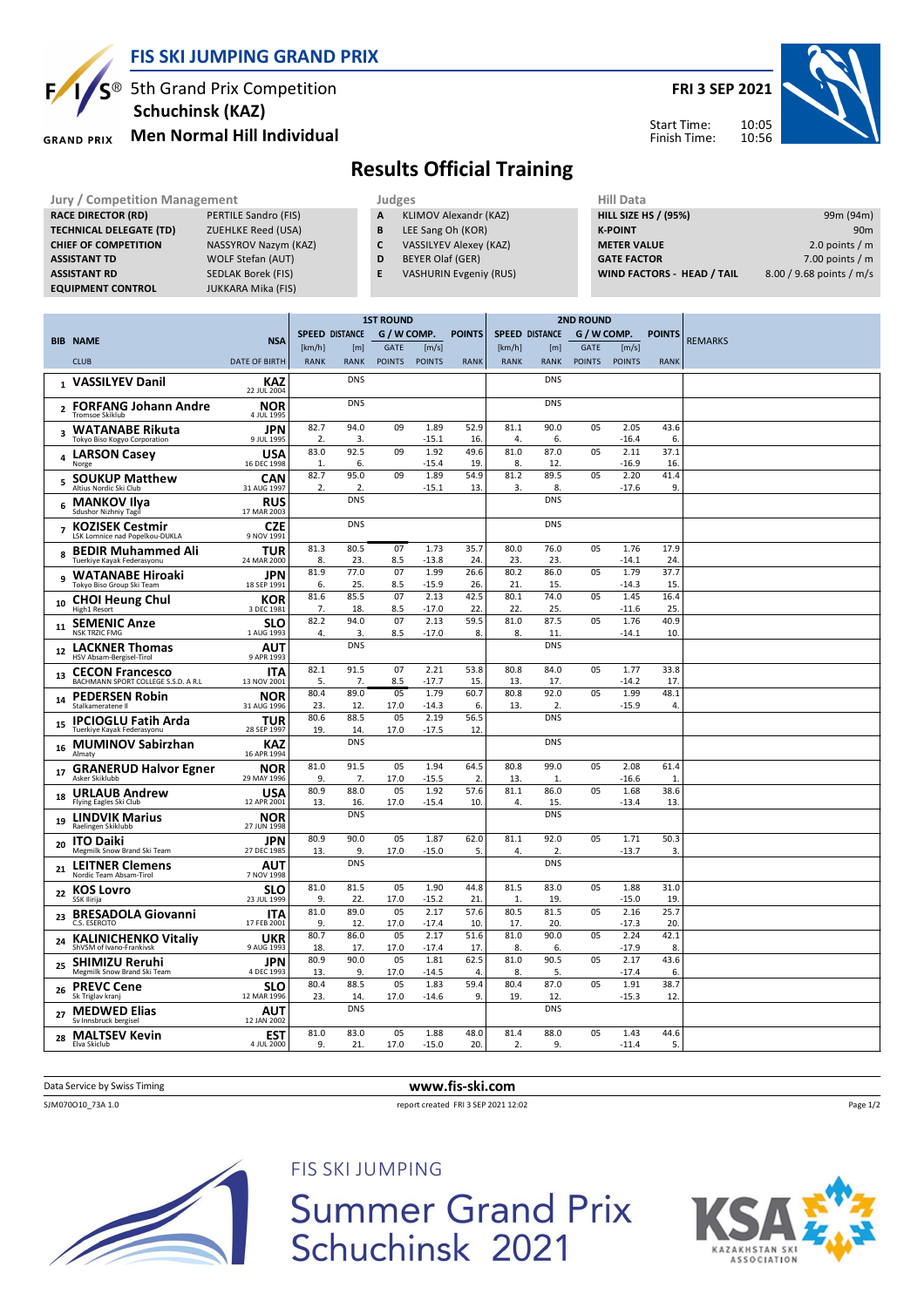

# $5^{\circledR}$  5th Grand Prix Competition  **Schuchinsk (KAZ)**

**Men Normal Hill Individual GRAND PRIX** 

**FRI 3 SEP 2021**



# **Results Official Training**

| <b>Jury / Competition Management</b> |                           | Judges | <b>Hill Data</b>              |                    |
|--------------------------------------|---------------------------|--------|-------------------------------|--------------------|
| <b>RACE DIRECTOR (RD)</b>            | PERTILE Sandro (FIS)      | A      | KLIMOV Alexandr (KAZ)         | <b>HILL SIZE I</b> |
| <b>TECHNICAL DELEGATE (TD)</b>       | <b>ZUEHLKE Reed (USA)</b> | B      | LEE Sang Oh (KOR)             | <b>K-POINT</b>     |
| <b>CHIEF OF COMPETITION</b>          | NASSYROV Nazym (KAZ)      |        | <b>VASSILYEV Alexey (KAZ)</b> | <b>METER VA</b>    |
| <b>ASSISTANT TD</b>                  | <b>WOLF Stefan (AUT)</b>  | D      | BEYER Olaf (GER)              | <b>GATE FACT</b>   |
| <b>ASSISTANT RD</b>                  | SEDLAK Borek (FIS)        | E      | <b>VASHURIN Evgeniy (RUS)</b> | <b>WIND FAC</b>    |
| <b>EQUIPMENT CONTROL</b>             | <b>JUKKARA Mika (FIS)</b> |        |                               |                    |

| Hill Data                         |                          |
|-----------------------------------|--------------------------|
| <b>HILL SIZE HS / (95%)</b>       | 99m (94m)                |
| <b>K-POINT</b>                    | 90 <sub>m</sub>          |
| <b>METER VALUE</b>                | 2.0 points $/m$          |
| <b>GATE FACTOR</b>                | 7.00 points $/m$         |
| <b>WIND FACTORS - HEAD / TAIL</b> | 8.00 / 9.68 points / m/s |

Start Time: Finish Time:

|                |                                                               |                                         | <b>1ST ROUND</b>      |                    |                              |                        | <b>2ND ROUND</b>       |                       |                          |                              |                        |                      |                |
|----------------|---------------------------------------------------------------|-----------------------------------------|-----------------------|--------------------|------------------------------|------------------------|------------------------|-----------------------|--------------------------|------------------------------|------------------------|----------------------|----------------|
|                | <b>BIB NAME</b>                                               | <b>NSA</b>                              | <b>SPEED DISTANCE</b> |                    | G / W COMP.                  |                        | <b>POINTS</b>          | <b>SPEED DISTANCE</b> |                          | G / W COMP.                  |                        | <b>POINTS</b>        | <b>REMARKS</b> |
|                | <b>CLUB</b>                                                   | <b>DATE OF BIRTH</b>                    | [km/h]<br><b>RANK</b> | [m]<br><b>RANK</b> | <b>GATE</b><br><b>POINTS</b> | [m/s]<br><b>POINTS</b> | <b>RANK</b>            | [km/h]<br><b>RANK</b> | [m]<br><b>RANK</b>       | <b>GATE</b><br><b>POINTS</b> | [m/s]<br><b>POINTS</b> | <b>RANK</b>          |                |
|                | 1 VASSILYEV Danil                                             | <b>KAZ</b>                              |                       | <b>DNS</b>         |                              |                        |                        |                       | <b>DNS</b>               |                              |                        |                      |                |
|                | 2 FORFANG Johann Andre<br>Tromsoe Skiklub                     | 22 JUL 2004<br><b>NOR</b><br>4 JUL 1995 |                       | <b>DNS</b>         |                              |                        |                        |                       | <b>DNS</b>               |                              |                        |                      |                |
|                | 3 WATANABE Rikuta<br>Tokyo Biso Kogyo Corporation             | <b>JPN</b><br>9 JUL 1995                | 82.7<br>2.            | 94.0<br>3.         | 09                           | 1.89<br>$-15.1$        | 52.9<br>16             | 81.1<br>4.            | 90.0<br>6.               | 05                           | 2.05<br>$-16.4$        | 43.6<br>6.           |                |
|                | 4 LARSON Casey<br>Norge                                       | <b>USA</b><br>16 DEC 1998               | 83.0<br>1.            | 92.5<br>6.         | 09                           | 1.92<br>$-15.4$        | 49.6<br>19.            | 81.0<br>8.            | 87.0<br>12.              | 05                           | 2.11<br>$-16.9$        | 37.1<br>16.          |                |
| 5              | <b>SOUKUP Matthew</b><br>Altius Nordic Ski Club               | <b>CAN</b><br>31 AUG 1997               | 82.7<br>2.            | 95.0<br>2.         | 09                           | 1.89<br>$-15.1$        | 54.9<br>13.            | 81.2<br>3.            | 89.5<br>8.               | 05                           | 2.20<br>$-17.6$        | 41.4<br>9.           |                |
| 6              | <b>MANKOV Ilya</b><br>Sdushor Nizhniy Tagil                   | <b>RUS</b><br>17 MAR 2003               |                       | <b>DNS</b>         |                              |                        |                        |                       | <b>DNS</b>               |                              |                        |                      |                |
| $\overline{7}$ | <b>KOZISEK Cestmir</b><br>LSK Lomnice nad Popelkou-DUKLA      | <b>CZE</b><br>9 NOV 1991                |                       | <b>DNS</b>         |                              |                        |                        |                       | <b>DNS</b>               |                              |                        |                      |                |
| 8              | <b>BEDIR Muhammed Ali</b><br>Tuerkive Kavak Federasvonu       | <b>TUR</b><br>24 MAR 2000               | 81.3<br>8.            | 80.5<br>23.        | 07<br>8.5                    | 1.73<br>$-13.8$        | 35.7<br>24             | 80.0<br>23.           | 76.0<br>23.              | 05                           | 1.76<br>$-14.1$        | 17.9<br>24.          |                |
| 9              | <b>WATANABE Hiroaki</b><br>Tokyo Biso Group Ski Team          | JPN<br>18 SEP 1991                      | 81.9<br>6.            | 77.0<br>25.        | 07<br>8.5                    | 1.99<br>$-15.9$        | 26.6<br>26.            | 80.2<br>21.           | 86.0<br>15.              | 05                           | 1.79<br>$-14.3$        | 37.7<br>15.          |                |
| 10             | <b>CHOI Heung Chul</b><br>High1 Resort                        | KOR<br>3 DEC 1981                       | 81.6<br>7.            | 85.5<br>18.        | 07<br>8.5                    | 2.13<br>$-17.0$        | 42.5<br>22.            | 80.1<br>22            | 74.0<br>25.              | 05                           | 1.45<br>$-11.6$        | 16.4<br>25.          |                |
| 11             | <b>SEMENIC Anze</b><br><b>NSK TRZIC FMG</b>                   | SLO<br>1 AUG 1993                       | 82.2<br>4.            | 94.0<br>3.         | 07<br>8.5                    | 2.13<br>$-17.0$        | 59.5<br>8.             | 81.0<br>8.            | 87.5<br>11               | 05                           | 1.76<br>$-14.1$        | 40.9<br>10.          |                |
| 12             | <b>LACKNER Thomas</b><br>HSV Absam-Bergisel-Tirol             | AUT<br>9 APR 1993                       |                       | <b>DNS</b>         |                              |                        |                        |                       | <b>DNS</b>               |                              |                        |                      |                |
| 13             | <b>CECON Francesco</b><br>BACHMANN SPORT COLLEGE S.S.D. A R.L | <b>ITA</b><br>13 NOV 2001               | 82.1<br>5.            | 91.5<br>7.         | 07<br>8.5                    | 2.21<br>$-17.7$        | 53.8<br>15.            | 80.8<br>13            | 84.0<br>17.              | 05                           | 1.77<br>$-14.2$        | 33.8<br>17           |                |
| 14             | <b>PEDERSEN Robin</b><br>Stalkameratene II                    | <b>NOR</b><br>31 AUG 1996               | 80.4<br>23.           | 89.0<br>12.        | 05<br>17.0                   | 1.79<br>$-14.3$        | 60.7<br>6.             | 80.8<br>13.           | 92.0<br>$\overline{2}$ . | 05                           | 1.99<br>$-15.9$        | 48.1<br>4.           |                |
| 15             | <b>IPCIOGLU Fatih Arda</b><br>Tuerkiye Kayak Federasyonu      | <b>TUR</b><br>28 SEP 1997               | 80.6<br>19.           | 88.5<br>14.        | 05<br>17.0                   | 2.19<br>$-17.5$        | 56.5<br>12             |                       | <b>DNS</b>               |                              |                        |                      |                |
| 16             | <b>MUMINOV Sabirzhan</b><br>Almaty                            | <b>KAZ</b><br>16 APR 1994               |                       | <b>DNS</b>         |                              |                        |                        |                       | <b>DNS</b>               |                              |                        |                      |                |
| 17             | <b>GRANERUD Halvor Egner</b><br>Asker Skiklubb                | <b>NOR</b><br>29 MAY 1996               | 81.0<br>9.            | 91.5<br>7.         | 05<br>17.0                   | 1.94<br>$-15.5$        | 64.5<br>2.             | 80.8<br>13.           | 99.0<br>$\mathbf{1}$     | 05                           | 2.08<br>$-16.6$        | 61.4<br>$\mathbf{1}$ |                |
| 18             | <b>URLAUB Andrew</b><br>Flying Eagles Ski Club                | <b>USA</b><br>12 APR 2001               | 80.9<br>13.           | 88.0<br>16.        | 05<br>17.0                   | 1.92<br>$-15.4$        | 57.6<br>10             | 81.1<br>4.            | 86.0<br>15.              | 05                           | 1.68<br>$-13.4$        | 38.6<br>13.          |                |
| 19             | <b>LINDVIK Marius</b><br>Raelingen Skiklubb                   | <b>NOR</b><br>27 JUN 1998               |                       | <b>DNS</b>         |                              |                        |                        |                       | <b>DNS</b>               |                              |                        |                      |                |
| 20             | <b>ITO Daiki</b><br>Megmilk Snow Brand Ski Team               | <b>JPN</b><br>27 DEC 1985               | 80.9<br>13.           | 90.0<br>9.         | 0 <sub>5</sub><br>17.0       | 1.87<br>$-15.0$        | 62.0<br>5.             | 81.1<br>4.            | 92.0<br>2                | 05                           | 1.71<br>$-13.7$        | 50.3<br>3.           |                |
| 21             | <b>LEITNER Clemens</b><br>Nordic Team Absam-Tirol             | <b>AUT</b><br>7 NOV 1998                |                       | <b>DNS</b>         |                              |                        |                        |                       | <b>DNS</b>               |                              |                        |                      |                |
| 22             | <b>KOS Lovro</b><br>SSK Ilirija                               | <b>SLO</b><br>23 JUL 1999               | 81.0<br>9.            | 81.5<br>22.        | 05<br>17.0                   | 1.90<br>-15.2          | 44.8<br>21             | 81.5<br>1.            | 83.0<br>19.              | 05                           | 1.88<br>$-15.0$        | 31.0<br>19.          |                |
|                | 23 BRESADOLA Giovanni<br>C.S. ESERCITO                        | <b>ITA</b><br>17 FEB 2001               | 81.0<br>9.            | 89.0<br>12.        | 05<br>17.0                   | 2.17<br>$-17.4$        | 57.6<br>10             | 80.5<br>17.           | 81.5<br>20.              | 05                           | 2.16<br>$-17.3$        | 25.7<br>20.          |                |
| 24             | <b>KALINICHENKO Vitaliy</b><br>ShVSM of Ivano-Frankivsk       | <b>UKR</b><br>9 AUG 1993                | 80.7<br>18.           | 86.0<br>17.        | 05<br>17.0                   | 2.17<br>$-17.4$        | 51.6<br>17.            | 81.0<br>8.            | 90.0<br>6.               | 05                           | 2.24<br>$-17.9$        | 42.1<br>8.           |                |
| 25             | <b>SHIMIZU Reruhi</b><br>Megmilk Snow Brand Ski Team          | <b>JPN</b><br>4 DEC 1993                | 80.9<br>13.           | 90.0<br>9.         | 05<br>17.0                   | 1.81<br>-14.5          | 62.5<br>$\overline{4}$ | 81.0<br>8.            | 90.5<br>5.               | 05                           | 2.17<br>$-17.4$        | 43.6<br>6.           |                |
| 26             | <b>PREVC Cene</b><br>Sk Triglav kranj                         | <b>SLO</b><br>12 MAR 1996               | 80.4<br>23.           | 88.5<br>14.        | 05<br>17.0                   | 1.83<br>$-14.6$        | 59.4<br>9.             | 80.4<br>19.           | 87.0<br>12.              | 05                           | 1.91<br>$-15.3$        | 38.7<br>12.          |                |
| 27             | <b>MEDWED Elias</b><br>Sv Innsbruck bergisel                  | <b>AUT</b><br>12 JAN 2002               |                       | <b>DNS</b>         |                              |                        |                        |                       | <b>DNS</b>               |                              |                        |                      |                |
| 28             | <b>MALTSEV Kevin</b><br>Elva Skiclub                          | <b>EST</b><br>4 JUL 2000                | 81.0<br>9.            | 83.0<br>21.        | 05<br>17.0                   | 1.88<br>$-15.0$        | 48.0<br>20.            | 81.4<br>2.            | 88.0<br>9.               | 05                           | 1.43<br>$-11.4$        | 44.6<br>5.           |                |
|                |                                                               |                                         |                       |                    |                              |                        |                        |                       |                          |                              |                        |                      |                |

## Data Service by Swiss Timing **www.fis-ski.com**

SJM070O10\_73A 1.0 report created FRI 3 SEP 2021 12:02

Page 1/2



FIS SKI JUMPING